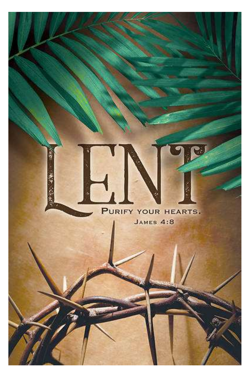# PURIFY YOUR HEARTS. **JAMES 4:8**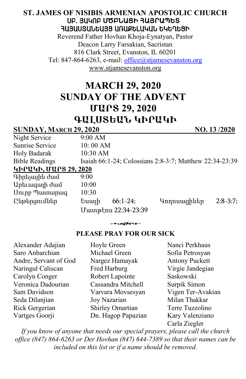## **ST. JAMES OF NISIBIS ARMENIAN APOSTOLIC CHURCH** ê´. Ú²Îà´ **ՄԾԲՆԱՑԻ ՀԱՅՐԱՊԵՏ** ՅԱՅԱՍՏԱՆԵԱՅՑ ԱՌԱՔԵԼԱԿԱՆ ԵԿԵՂԵՑԻ

Reverend Father Hovhan Khoja-Eynatyan, Pastor Deacon Larry Farsakian, Sacristan 816 Clark Street, Evanston, IL 60201 Tel: 847-864-6263, e-mail: [office@stjamesevanston.org](mailto:office@stjamesevanston.org) [www.stjamesevanston.org](http://www.stjamesevanston.org/)

# **MARCH 29, 2020 SUNDAY OF THE ADVENT ՄԱՐՏ 29, 2020 ԳԱԼՍՏԵԱՆ ԿԻՐԱԿԻ**

# **SUNDAY, MARCH 29, 2020 NO. 13 /2020**

Night Service 9:00 AM Sunrise Service 10: 00 AM Holy Badarak 10:30 AM Bible Readings Isaiah 66:1-24; Colossians 2:8-3:7; Matthew 22:34-23:39 **ԿԻՐԱԿԻ, ՄԱՐՏ 29, 2020**  Գիրեչային ժամ 9:00 Արեւագալի ժամ 10:00 Սուրբ Պատարագ 10:30 Ընթերցումներ Եսայի 66:1-24; Կողոսացիներ 2:8-3:7; Մատթէոս 22:34-23:39

#### -sasagerer

#### **PLEASE PRAY FOR OUR SICK**

Alexander Adajian Saro Anbarchian Andre, Servant of God Naringul Caliscan Carolyn Conger Veronica Dadourian Sam Davidson Seda Dilanjian Rick Gergerian Vartges Goorji Hoyle Green Michael Green Nargez Hamayak Fred Harburg Robert Lapointe Cassandra Mitchell Varvara Movsesyan Joy Nazarian Shirley Omartian Dn. Hagop Papazian Nanci Perkhaus Sofia Petrosyan Antony Puckett Virgie Jandegian Saskowski Surpik Simon Vigen Ter-Avakian Milan Thakkar Terre Tuzzolino Kary Valenziano Carla Ziegler

*If you know of anyone that needs our special prayers, please call the church office (847) 864-6263 or Der Hovhan (847) 644-7389 so that their names can be included on this list or if a name should be removed.*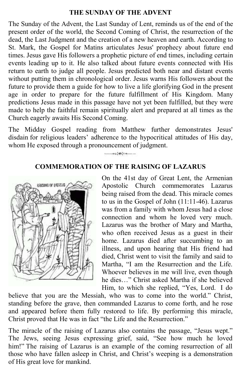### **THE SUNDAY OF THE ADVENT**

The Sunday of the Advent, the Last Sunday of Lent, reminds us of the end of the present order of the world, the Second Coming of Christ, the resurrection of the dead, the Last Judgment and the creation of a new heaven and earth. According to St. Mark, the Gospel for Matins articulates Jesus' prophecy about future end times. Jesus gave His followers a prophetic picture of end times, including certain events leading up to it. He also talked about future events connected with His return to earth to judge all people. Jesus predicted both near and distant events without putting them in chronological order. Jesus warns His followers about the future to provide them a guide for how to live a life glorifying God in the present age in order to prepare for the future fulfillment of His Kingdom. Many predictions Jesus made in this passage have not yet been fulfilled, but they were made to help the faithful remain spiritually alert and prepared at all times as the Church eagerly awaits His Second Coming.

The Midday Gospel reading from Matthew further demonstrates Jesus' disdain for religious leaders' adherence to the hypocritical attitudes of His day, whom He exposed through a pronouncement of judgment.

### **COMMEMORATION OF THE RAISING OF LAZARUS**

actorica ...



On the 41st day of Great Lent, the Armenian Apostolic Church commemorates Lazarus being raised from the dead. This miracle comes to us in the Gospel of John (11:11-46). Lazarus was from a family with whom Jesus had a close connection and whom he loved very much. Lazarus was the brother of Mary and Martha, who often received Jesus as a guest in their home. Lazarus died after succumbing to an illness, and upon hearing that His friend had died, Christ went to visit the family and said to Martha, "I am the Resurrection and the Life. Whoever believes in me will live, even though he dies…" Christ asked Martha if she believed Him, to which she replied, "Yes, Lord. I do

believe that you are the Messiah, who was to come into the world." Christ, standing before the grave, then commanded Lazarus to come forth, and he rose and appeared before them fully restored to life. By performing this miracle, Christ proved that He was in fact "the Life and the Resurrection."

The miracle of the raising of Lazarus also contains the passage, "Jesus wept." The Jews, seeing Jesus expressing grief, said, "See how much he loved him!" The raising of Lazarus is an example of the coming resurrection of all those who have fallen asleep in Christ, and Christ's weeping is a demonstration of His great love for mankind.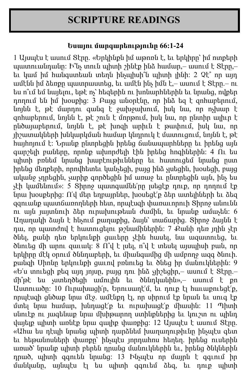# **SCRIPTURE READINGS**

## **Եսայու մարգարեությունը 66:1-24**

1 Այսպէս է ասում Տէրը. «Երկինքն իմ աթոռն է, եւ երկիրը՝ իմ ոտքերի պատուանդանը: Ի՞նչ տուն պիտի շինէք ինձ համար,– ասում է Տէրը,– եւ կամ իմ հանգստեան տեղն ինչպիսի՞ն պիտի լինի: 2 Չէ՞ որ այդ ամէնն իմ ձեռքը պատրաստեց, եւ ամէն ինչ իմն է,– ասում է Տէրը.– ու ես ո՞ւմ եմ նայելու, եթէ ոչ՝ հեզերին ու խոնարհներին եւ նրանց, ովքեր դողում են իմ խօսքից: 3 Բայց անօրէնը, որ ինձ եզ է զոհաբերում, նոյնն է, թէ մարդու գանգ է ջախջախում, իսկ նա, որ ոչխար է զոհաբերում, նոյնն է, թէ շուն է մորթում, իսկ նա, որ ընտիր ալիւր է ընծայաբերում, նոյնն է, թէ խոզի արիւն է թափում, իսկ նա, որ յիշատակների խնկարկման համար կնդրուկ է մատուցում, նոյնն է, թէ հայհոյում է: Նրանք ընտրեցին իրենց ճանապարհները եւ իրենց այն գարշելի բաները, որոնք ախորժելի էին իրենց հոգիներին: 4 Ու ես պիտի բռնեմ նրանց խաբէութիւնները եւ հատուցեմ նրանց ըստ իրենց մեղքերի, որովհետեւ կանչեցի, բայց ինձ չլսեցին, խօսեցի, բայց ականջ չդրեցին, չարիք գործեցին իմ առաջ եւ ընտրեցին այն, ինչ ես չէի կամենում»: 5 Տիրոջ պատգամնե՛րը լսեցէք դուք, որ դողում էք նրա խօսքերից: Ո՛վ մեր եղբայրներ, խօսեցէ՛ք ձեր ատելիների եւ ձեզ զզուանք պատճառողների հետ, որպէսզի փառաւորուի Տիրոջ անունն ու այն յայտնուի ձեր ուրախութեան ժամին, եւ նրանք ամաչեն: 6 Աղաղակի ձայն է հնչում քաղաքից, ձայն՝ տաճարից. Տիրոջ ձայնն է դա, որ պատժով է հատուցելու թշնամիներին: 7 Քանի դեռ յղին չէր ծնել, քանի դեռ երկունքի ցաւերը չէին հասել, նա ազատուեց, եւ ծնուեց մի արու զաւակ: 8 Ո՞վ է լսել, ո՞վ է տեսել այսպիսի բան, որ երկիրը մէկ օրում ծննդաբերի, եւ միանգամից մի ամբողջ ազգ ծնուի. քանզի Սիոնը երկունքի ցաւով բռնուեց եւ ծնեց իր մանուկներին: 9 «Ե՛ս տուեցի քեզ այդ յոյսը, բայց դու ինձ չյիշեցիր,– ասում է Տէրը.– մի՞թէ ես չստեղծեցի ամուլին եւ ծննդկանին»,– ասում է քո Աստուածը: 10 Ուրախացի՛ր, Երուսաղէ՛մ, եւ դուք էլ հաւաքուեցէ՛ք, որպէսզի ցնծաք նրա մէջ. ամէնքդ էլ, որ սիրում էք նրան եւ սուգ էք մտել նրա համար, խնդացէ՛ք եւ ուրախացէ՛ք միասին: 11 Պիտի սնուէք ու յագենաք նրա մխիթարող ստինքներից եւ կուշտ ու պինդ վայելք պիտի առնէք նրա գալիք փառքից: 12 Այսպէս է ասում Տէրը. «Ահա ես դէպի նրանց պիտի դարձնեմ խաղաղութիւնը ինչպէս գետ եւ հեթանոսների փառքը՝ ինչպէս յորդահոս հեղեղ. իրենց ուսերին առած՝ նրանք պիտի բերեն դրանց մանուկներին եւ, իրենց ծնկներին դրած, պիտի գգուեն նրանց: 13 Ինչպէս որ մայրն է գգւում իր մանկանը, այնպէս էլ ես պիտի գգուեմ ձեզ, եւ դուք պիտի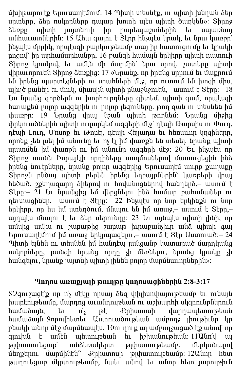մխիթարուէք Երուսաղէմում: 14 Պիտի տեսնէք, ու պիտի խնդան ձեր սրտերը, ձեր ոսկորները դալար խոտի պէս պիտի ծաղկեն»: Տիրոջ ձեռքը պիտի յայտնուի իր բարեպաշտներին եւ սպառնայ անհաւատներին: 15 Ահա գալու է Տէրը ինչպէս կրակ, եւ նրա կառքը՝ ինչպէս մրրիկ, որպէսզի բարկութեամբ տայ իր հատուցումը եւ կրակի բոցով՝ իր արհամարհանքը, 16 քանզի համայն երկիրը պիտի դատուի Տիրոջ կրակով, եւ ամէն մի մարմին՝ նրա սրով. շատերը պիտի վիրաւորուեն Տիրոջ ձեռքից: 17 «Նրանք, որ իրենց սրբում եւ մաքրում են իրենց պարտէզների ու սրահների մէջ, որ ուտում են խոզի միս, պիղծ բաներ եւ մուկ, միասին պիտի բնաջնջուեն,– ասում է Տէրը:– 18 Ես նրանց գործերն ու խորհուրդները գիտեմ. պիտի գամ, որպէսզի հաւաքեմ բոլոր ազգերին ու բոլոր լեզուները. թող գան ու տեսնեն իմ փառքը: 19 Նրանց վրայ նշան պիտի թողնեմ: Նրանց միջից փրկուածներին պիտի ուղարկեմ ազգերի մէջ՝ դէպի Թարսիս ու Փուդ, դէպի Լուդ, Մոսոք եւ Թոբէլ, դէպի Հելլադա եւ հեռաւոր կղզիները, որոնք չեն լսել իմ անունը եւ ոչ էլ իմ փառքն են տեսել. նրանք պիտի պատմեն իմ փառքն ու իմ անունը ազգերի մէջ: 20 Եւ ինչպէս որ Տիրոջ տանն Իսրայէլի որդիները սաղմոսներով մատուցեցին ինձ իրենց նուէրները, նրանք բոլոր ազգերից Երուսաղէմ սուրբ քաղաքը Տիրոջն ընծայ պիտի բերեն իրենց եղբայրներին՝ կառքերի վրայ հեծած, շքեղազարդ ձիերով ու հովանոցներով հանդերձ,– ասում է Տէրը:– 21 Եւ նրանցից եմ վերցնելու ինձ համար քահանաներ ու ղեւտացիներ,– ասում է Տէրը:– 22 Ինչպէս որ նոր երկինքն ու նոր երկիրը, որ ես եմ ստեղծում, մնալու են իմ առաջ,– ասում է Տէրը,– այդպէս մնալու է եւ ձեր սերունդը: 23 Եւ այնպէս պիտի լինի, որ ամսից ամիս ու շաբաթից շաբաթ իւրաքանչիւր անձ պիտի գայ Երուսաղէմում իմ առաջ երկրպագելու,– ասում է Տէր Աստուած:– 24 Պիտի ելնեն ու տեսնեն իմ հանդէպ յանցանք կատարած մարդկանց ոսկորները, քանզի նրանց որդը չի մեռնելու, նրանց կրակը չի հանգելու, նրանք յայտնի պիտի լինեն բոլոր մարմնաւորներին»:

## **Պողոս առաքյալի թուղթը կողոսացիներին 2:8-3:17**

8Զգուշացէ՛ք որ ո՛չ մէկը որսայ ձեզ փիլիսոփայութեամբ եւ ունայն խաբէութեամբ, մարդոց աւանդութեան ու աշխարհի սկզբունքներուն համաձայն, եւ ո՛չ թէ Քրիստոսի վարդապետութեան համաձայն. [9](http://biblehub.com/colossians/2-9.htm)որովհետեւ Աստուածութեան ամբողջ լիութիւնը կը բնակի անոր մէջ մարմնապէս, [10](http://biblehub.com/colossians/2-10.htm)ու դուք ալ ամբողջացած էք անով՝ որ գլուխն է ամէն պետութեան եւ իշխանութեան: [11](http://biblehub.com/colossians/2-11.htm)Անո՛վ ալ թլփատուեցաք՝ անձեռակերտ թլփատութեամբ, մերկանալով մեղքերու մարմինէն՝՝ Քրիստոսի թլփատութեամբ: [12](http://biblehub.com/colossians/2-12.htm)Անոր հետ թաղուեցաք մկրտութեամբ, նաեւ անով եւ անոր հետ յարութիւն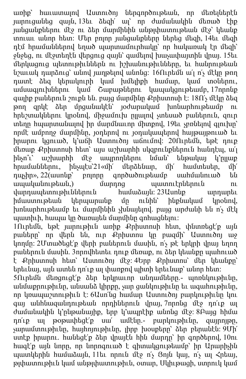առիք՝ հաւատալով Աստուծոյ ներգործութեան, որ մեռելներէն յարուցանեց զայն, [13](http://biblehub.com/colossians/2-13.htm)եւ ձեզի՛ ալ՝ որ ժամանակին մեռած էիք յանցանքներու մէջ ու ձեր մարմինին անթլփատութեան մէջ՝ կեանք տուաւ անոր հետ: Մեր բոլոր յանցանքները ներեց մեզի, [14](http://biblehub.com/colossians/2-14.htm)եւ մեզի դէմ հրամաններով եղած պարտամուրհակը՝ որ հակառակ էր մեզի՝ ջնջեց, ու մէջտեղէն վերցուց զայն՝ գամելով խաչափայտին վրայ. [15](http://biblehub.com/colossians/2-15.htm)եւ մերկացուց պետութիւններն ու իշխանութիւնները, եւ հանրութեան նշաւակ դարձուց՝ անով յաղթելով անոնց: [16](http://biblehub.com/colossians/2-16.htm)Ուրեմն ա՛լ ո՛չ մէկը թող դատէ ձեզ կերակուրի կամ խմելիքի համար, կամ տօներու, ամսագլուխներու կամ Շաբաթներու կապակցութեամբ, [17](http://biblehub.com/colossians/2-17.htm)որոնք գալիք բաներուն շուքն են. բայց մարմինը Քրիստոսի է: [18](http://biblehub.com/colossians/2-18.htm)Ո՛չ մէկը ձեզ թող զրկէ ձեր մրցանակէն՝ յօժարակամ խոնարհութեամբ ու հրեշտակներու կրօնով, միջամուխ ըլլալով չտեսած բաներուն, զուր տեղը հպարտանալով իր մարմնաւոր միտքով, [19](http://biblehub.com/colossians/2-19.htm)եւ չբռնելով գլուխը՝ որմէ ամբողջ մարմինը, յօդերով ու յօդակապերով հայթայթուած եւ իրարու կցուած, կ՚աճի Աստուծոյ աճումով: [20](http://biblehub.com/colossians/2-20.htm)Ուրեմն, եթէ դուք մեռաք Քրիստոսի հետ՝ այս աշխարհի սկզբունքներուն հանդէպ, ա՛լ ինչո՞ւ՝ աշխարհի մէջ ապրողներու նման՝ ենթակայ կ՚ըլլաք հրամաններու, ինչպէս՝[21](http://biblehub.com/colossians/2-21.htm)«մի՛ մերձենար, մի՛ համտեսեր, մի՛ դպչիր», [22](http://biblehub.com/colossians/2-22.htm)(ասոնք՝ բոլորը գործածութեամբ սահմանուած են ապականութեան,) մարդոց պատուէրներուն ու վարդապետութիւններուն համաձայն: [23](http://biblehub.com/colossians/2-23.htm)Ասոնք արդարեւ իմաստութեան կերպարանք մը ունին՝ ինքնակամ կրօնով, խոնարհութեամբ եւ մարմինին չխնայելով. բայց արժանի են ո՛չ մէկ պատիւի, հապա կը ծառայեն մարմինը գոհացնելու: [1](http://biblehub.com/colossians/3-1.htm)Ուրեմն, եթէ յարութիւն առիք Քրիստոսի հետ, փնտռեցէ՛ք այն բաները՝ որ վերն են, ուր Քրիստոս կը բազմի՝ Աստուծոյ աջ կողմը: [2](http://biblehub.com/colossians/3-2.htm)Մտածեցէ՛ք վերի բաներուն մասին, ո՛չ թէ երկրի վրայ եղող բաներուն մասին. [3](http://biblehub.com/colossians/3-3.htm)որովհետեւ դուք մեռաք, ու ձեր կեանքը պահուած է Քրիստոսի հետ՝ Աստուծոյ մէջ: [4](http://biblehub.com/colossians/3-4.htm)Երբ Քրիստոս՝ մեր կեանքը՝

երեւնայ, այն ատեն դո՛ւք ալ փառքով պիտի երեւնաք՝ անոր հետ: [5](http://biblehub.com/colossians/3-5.htm)Ուրեմն մեռցուցէ՛ք ձեր երկրաւոր անդամները.- պոռնկութիւնը, անմաքրութիւնը, անսանձ կիրքը, չար ցանկութիւնը եւ ագահութիւնը, որ կռապաշտութիւն է: [6](http://biblehub.com/colossians/3-6.htm)Ասո՛նց համար Աստուծոյ բարկութիւնը կու գայ անհնազանդութեան որդիներուն վրայ, [7](http://biblehub.com/colossians/3-7.htm)որոնց մէջ դո՛ւք ալ ժամանակին կ՚ընթանայիք, երբ կ՚ապրէիք անոնց մէջ: [8](http://biblehub.com/colossians/3-8.htm)Բայց հիմա դո՛ւք ալ թօթափեցէ՛ք սա՛ ամէնը.- բարկութիւնը, զայրոյթը, չարամտութիւնը, հայհոյութիւնը, լիրբ խօսքերը՝ ձեր բերանէն: [9](http://biblehub.com/colossians/3-9.htm)Մի՛ ստէք իրարու. հանեցէ՛ք ձեր վրայէն հին մարդը՝ իր գործերով, [10](http://biblehub.com/colossians/3-10.htm)ու հագէ՛ք այն նորը, որ նորոգուած է գիտակցութեամբ՝ իր Արարիչին պատկերին համաձայն, [11](http://biblehub.com/colossians/3-11.htm)եւ որուն մէջ ո՛չ Յոյն կայ, ո՛չ ալ Հրեայ, թլփատութիւն կամ անթլփատութիւն, օտար, Սկիւթացի, ստրուկ կամ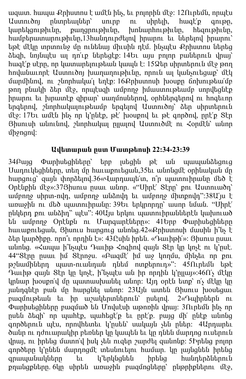ազատ. հապա Քրիստոս է ամէն ինչ, եւ բոլորին մէջ: [12](http://biblehub.com/colossians/3-12.htm)Ուրեմն, որպէս Աստուծոյ ընտրեալներ՝ սուրբ ու սիրելի, հագէ՛ք գութը, կարեկցութիւնը, քաղցրութիւնը, խոնարհութիւնը, հեզութիւնը, համբերատարութիւնը,[13](http://biblehub.com/colossians/3-13.htm)հանդուրժելով իրարու եւ ներելով իրարու՝ եթէ մէկը տրտունջ մը ունենայ միւսին դէմ. ինչպէս Քրիստոս ներեց ձեզի, նոյնպէս ալ դո՛ւք ներեցէք: [14](http://biblehub.com/colossians/3-14.htm)Եւ այս բոլոր բաներուն վրայ՝ հագէ՛ք սէրը, որ կատարելութեան կապն է: [15](http://biblehub.com/colossians/3-15.htm)Ձեր սիրտերուն մէջ թող հովանաւորէ Աստուծոյ խաղաղութիւնը, որուն ալ կանչուեցաք՝ մէկ մարմինով, ու շնորհակա՛լ եղէք: [16](http://biblehub.com/colossians/3-16.htm)Քրիստոսի խօսքը ճոխութեա՛մբ թող բնակի ձեր մէջ, որպէսզի ամբողջ իմաստութեամբ սորվեցնէք իրարու եւ խրատէք զիրար՝ սաղմոսներով, օրհներգերով ու հոգեւոր երգերով, շնորհակալութեամբ երգելով Աստուծոյ՝ ձեր սիրտերուն մէջ: [17](http://biblehub.com/colossians/3-17.htm)Եւ ամէն ինչ որ կ՚ընէք, թէ՛ խօսքով եւ թէ գործով, ըրէ՛ք Տէր Յիսուսի անունով, շնորհակալ ըլլալով Աստուծմէ ու Հօրմէն՝ անոր միջոցով:

# **Ավետարան ըստ Մատթեոսի 22:34-23:39**

34Բայց Փարիսեցիները՝ երբ լսեցին թէ ան պապանձեցուց Սադուկեցիները, տեղ մը հաւաքուեցան,35եւ անոնցմէ օրինական մը հարցուց՝ զայն փորձելով.36«Վարդապե՛տ, ո՞ր պատուիրանը մեծ է Օրէնքին մէջ»:37Յիսուս ըսաւ անոր. «"Սիրէ՛ Տէրը՝ քու Աստուածդ՝ ամբողջ սիրտ-ովդ, ամբողջ անձովդ եւ ամբողջ միտքովդ":38Ա՛յս է առաջին ու մեծ պատուիրանը: 39Եւ երկրորդը՝ ասոր նման. "Սիրէ՛ ընկերդ քու անձիդ՝՝ պէս": 40Այս երկու պատուիրաններէն կախուած են ամբողջ Օրէնքն ու Մարգարէները»: 41Երբ Փարիսեցիները հաւաքուեցան, Յիսուս հարցուց անոնց.42«Քրիստոսի մասին ի՞նչ է ձեր կարծիքը. որո՞ւ որդին է»: 43Ըսին իրեն. «Դաւիթի՛»: Յիսուս ըսաւ անոնց. «Հապա ի՞նչպէս Դաւիթ Հոգիով զայն Տէր կը կոչէ ու կ՚ըսէ. 44"Տէրը ըսաւ իմ Տէրոջս. «Բազմէ՛ իմ աջ կողմս, մինչեւ որ քու թշնամիներդ պատ-ուանդան դնեմ ոտքերուդ»": 45Ուրեմն եթէ Դաւիթ զայն Տէր կը կոչէ, ի՞նչպէս ան իր որդին կ՚ըլլայ»:46Ո՛չ մէկը կրնար խօսքո՛վ մը պատասխանել անոր: Այդ օրէն ետք՝ ո՛չ մէկը կը յանդգնէր բան մը հարցնել անոր: 23Այն ատեն Յիսուս խօսեցաւ բազմութեան եւ իր աշակերտներուն՝ ըսելով. 2«Դպիրներն ու Փարիսեցիները բազմած են Մովսէսի աթոռին վրայ: 3Ուրեմն ինչ որ ըսեն ձեզի՝ որ պահէք, պահեցէ՛ք եւ ըրէ՛ք. բայց մի՛ ընէք անոնց գործերուն պէս, որովհետեւ կ՚ըսեն՝ սակայն չեն ըներ: 4Արդարեւ ծանր ու դժուարակիր բեռներ կը կապեն եւ կը դնեն մարդոց ուսերուն վրայ, ու իրենց մատո՛վ իսկ չեն ուզեր շարժել զանոնք: 5Իրենց բոլոր գործերը կ՚ընեն մարդոցմէ տեսնուելու համար. կը լայնցնեն իրենց գրապանակները եւ կ՚երկնցնեն իրենց հանդերձներուն քղանցքները. 6կը սիրեն առաջին բազմոցները՝ ընթրիքներու մէջ,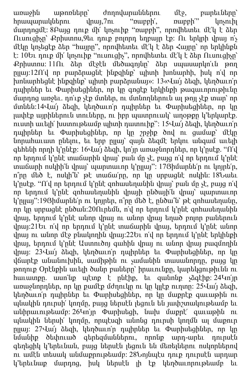առաջին աթոռները` ժողովարաններու մէջ, բարեւները`<br>հրապարակներու վրայ,7ու "ռաբբի՜, ռաբբի՛՚՝ կոչուիլ հրապարակներու վրայ,7ու "ռաբբի՛, ռաբբի՛" կոչուիլ մարդոցմէ: 8Բայց դուք մի՛ կոչուիք "ռաբբի", որովհետեւ մէ՛կ է ձեր Ուսուցիչը՝ Քրիստոս,9եւ դուք բոլորդ եղբայր էք: Ու երկրի վրայ ո՛չ մէկը կոչեցէք ձեր "հայրը", որովհետեւ մէ՛կ է ձեր Հայրը՝ որ երկինքն է: 10Եւ դուք մի՛ կոչուիք "ուսուցիչ", որովհետեւ մէ՛կ է ձեր Ուսուցիչը՝ Քրիստոս: 11Ու ձեր մէջէն մեծագոյնը՝ ձեր սպասարկո՛ւն թող ըլլայ:12Ո՛վ որ բարձրացնէ ինքզինք՝ պիտի խոնարհի, իսկ ո՛վ որ խոնարհեցնէ ինքզինք՝ պիտի բարձրանայ»: 13«Վա՜յ ձեզի, կեղծաւո՛ր դպիրներ եւ Փարիսեցիներ, որ կը գոցէք երկինքի թագաւորութիւնը մարդոց առջեւ. դո՛ւք չէք մտներ, ու մտնողներուն ալ թոյլ չէք տար՝ որ մտնեն:14Վա՜յ ձեզի, կեղծաւո՛ր դպիրներ եւ Փարիսեցիներ, որ կը լափէք այրիներուն տուները, ու իբր պատրուակ՝ աղօթքը կ՚երկարէք. ուստի աւելի՛ խստութեամբ պիտի դատուիք՝՝: 15Վա՜յ ձեզի, կեղծաւո՛ր դպիրներ եւ Փարիսեցիներ, որ կը շրջիք ծով ու ցամաք՝ մէկը նորահաւատ ընելու, եւ երբ ըլլայ՝ զայն ձեզմէ երկու անգամ աւելի գեհենի որդի կ՚ընէք: 16Վա՜յ ձեզի, կո՛յր առաջնորդներ, որ կ՚ըսէք. "Ո՛վ որ երդում կ'ընէ տաճարին վրայ՝ բան մը չէ, բայց ո՛վ որ երդում կ'ընէ տաճարի ոսկիի՛ն վրայ՝ պարտաւոր կ՚ըլլայ": 17Յիմարնե՛ր ու կոյրե՛ր, ո՞րը մեծ է, ոսկի՞ն՝ թէ տաճա՛րը, որ կը սրբացնէ ոսկին: 18Նաեւ կ՚ըսէք. "Ո՛վ որ երդում կ՚ընէ զոհասեղանին վրայ՝ բան մը չէ, բայց ո՛վ որ երդում կ՚ընէ զոհասեղանին վրայի ընծայի՛ն վրայ՝ պարտաւոր կ՚ըլլայ":19Յիմարնե՛ր ու կոյրեր, ո՞րը մեծ է, ընծա՞ն՝ թէ զոհասեղանը, որ կը սրբացնէ ընծան:20Ուրեմն, ո՛վ որ երդում կ՚ընէ զոհասեղանին վրայ, երդում կ՚ընէ անոր վրայ ու անոր վրայ եղած բոլոր բաներուն վրայ:21Եւ ո՛վ որ երդում կ՚ընէ տաճարին վրայ, երդում կ՚ընէ անոր վրայ ու անոր մէջ բնակողին վրայ։ 22 Եւ ո՛վ որ երդում կ'ընէ երկինքի վրայ, երդում կ՚ընէ Աստուծոյ գահին վրայ ու անոր վրայ բազմողին վրայ: 23Վա՜յ ձեզի, կեղծաւո՛ր դպիրներ եւ Փարիսեցիներ, որ կը վճարէք անանուխին, սամիթին ու չամանին տասանորդը, բայց կը թողուք Օրէնքին աւելի ծանր բաները՝ իրաւունքը, կարեկցութիւնն ու հաւատքը. ասո՛նք պէտք է ընէիք, եւ զանոնք չձգէիք: 24Կո՛յր առաջնորդներ, որ կը քամէք մժղուկը ու կը կլլէք ուղտը: 25Վա՜յ ձեզի, կեղծաւո՛ր դպիրներ եւ Փարիսեցիներ, որ կը մաքրէք գաւաթին ու պնակին դուրսի՛ կողմը, բայց ներսէն լեցուն են յափշտակութեամբ եւ անիրաւութեամբ: 26Կո՛յր Փարիսեցի, նախ մաքրէ՛ գաւաթին ու պնակին ներսի՛ կողմը, որպէսզի անոնց դուրսի կողմն ալ մաքուր ըլլայ: 27Վա՜յ ձեզի, կեղծաւո՛ր դպիրներ եւ Փարիսեցիներ, որ կը նմանիք ծեփուած գերեզմաններու, որոնք արդ-արեւ դուրսէն գեղեցիկ կ՚երեւնան, բայց ներսէն լեցուն են մեռելներու ոսկորներով ու ամէն տեսակ անմաքրութեամբ: 28Նոյնպէս դուք դուրսէն արդար կ՚երեւնաք մարդոց, իսկ ներսէն լի էք կեղծաւորութեամբ եւ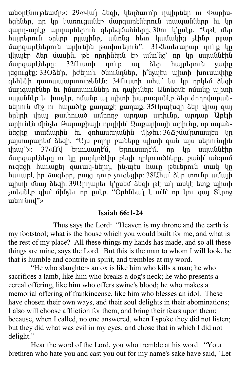անօրէնութեամբ»: 29«Վա՜յ ձեզի, կեղծաւո՛ր դպիրներ ու Փարիսեցիներ, որ կը կառուցանէք մարգարէներուն տապանները եւ կը զարդ-արէք արդարներուն գերեզմանները, 30ու կ՚ըսէք. "Եթէ մեր հայրերուն օրերը ըլլայինք, անոնց հետ կամակից չէինք ըլլար մարգարէներուն արիւնին թափուելուն": 31Հետեւաբար դո՛ւք կը վկայէք ձեր մասին, թէ որդիներն էք անո՛նց՝ որ կը սպաննէին մարգարէները: 32Ուստի դո՛ւք ալ ձեր հայրերուն չափը լեցուցէք: 33Օձե՛ր, իժերո՛ւ ծնունդներ, ի՞նչպէս պիտի խուսափիք գեհենի դատապարտութենէն: 34Ուստի ահա՛ ես կը ղրկեմ ձեզի մարգարէներ եւ իմաստուններ ու դպիրներ: Անոնցմէ ոմանք պիտի սպաննէք եւ խաչէք, ոմանք ալ պիտի խարազանէք ձեր ժողովարաններուն մէջ ու հալածէք քաղաքէ քաղաք: 35Որպէսզի ձեր վրայ գայ երկրի վրայ թափուած ամբողջ արդար արիւնը, արդար Աբէլի արիւնէն մինչեւ Բարաքիայի որդիին՝ Զաքարիայի արիւնը, որ սպաննեցիք տաճարին եւ զոհասեղանին միջեւ: 36Ճշմա՛րտապէս կը յայտարարեմ ձեզի. "Այս բոլոր բաները պիտի գան այս սերունդին վրայ"»: 37«Ո՛վ Երուսաղէ՜մ, Երուսաղէ՜մ, որ կը սպաննէիր մարգարէները ու կը քարկոծէիր քեզի ղրկուածները. քանի՜ անգամ ուզեցի հաւաքել զաւակ-ներդ, ինչպէս հաւը թեւերուն տակ կը հաւաքէ իր ձագերը, բայց դուք չուզեցիք: 38Ահա՛ ձեր տունը ամայի պիտի մնայ ձեզի: 39Արդարեւ կ՚ըսեմ ձեզի թէ ա՛լ ասկէ ետք պիտի չտեսնէք զիս՝ մինչեւ որ ըսէք. "Օրհնեա՜լ է ա՛ն՝ որ կու գայ Տէրոջ անունով"»

## **Isaiah 66:1-24**

Thus says the Lord: "Heaven is my throne and the earth is my footstool; what is the house which you would built for me, and what is the rest of my place? All these things my hands has made, and so all these things are mine, says the Lord. But this is the man to whom I will look, he that is humble and contrite in spirit, and trembles at my word.

"He who slaughters an ox is like him who kills a man; he who sacrifices a lamb, like him who breaks a dog's neck; he who presents a cereal offering, like him who offers swine's blood; he who makes a memorial offering of frankincense, like him who blesses an idol. These have chosen their own ways, and their soul delights in their abominations; I also will choose affliction for them, and bring their fears upon them; because, when I called, no one answered, when I spoke they did not listen; but they did what was evil in my eyes; and chose that in which I did not delight."

Hear the word of the Lord, you who tremble at his word: "Your brethren who hate you and cast you out for my name's sake have said, `Let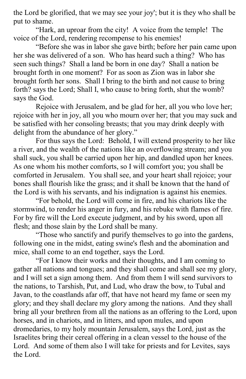the Lord be glorified, that we may see your joy'; but it is they who shall be put to shame.

"Hark, an uproar from the city! A voice from the temple! The voice of the Lord, rendering recompense to his enemies!

"Before she was in labor she gave birth; before her pain came upon her she was delivered of a son. Who has heard such a thing? Who has seen such things? Shall a land be born in one day? Shall a nation be brought forth in one moment? For as soon as Zion was in labor she brought forth her sons. Shall I bring to the birth and not cause to bring forth? says the Lord; Shall I, who cause to bring forth, shut the womb? says the God.

Rejoice with Jerusalem, and be glad for her, all you who love her; rejoice with her in joy, all you who mourn over her; that you may suck and be satisfied with her consoling breasts; that you may drink deeply with delight from the abundance of her glory."

For thus says the Lord: Behold, I will extend prosperity to her like a river, and the wealth of the nations like an overflowing stream; and you shall suck, you shall be carried upon her hip, and dandled upon her knees. As one whom his mother comforts, so I will comfort you; you shall be comforted in Jerusalem. You shall see, and your heart shall rejoice; your bones shall flourish like the grass; and it shall be known that the hand of the Lord is with his servants, and his indignation is against his enemies.

"For behold, the Lord will come in fire, and his chariots like the stormwind, to render his anger in fury, and his rebuke with flames of fire. For by fire will the Lord execute judgment, and by his sword, upon all flesh; and those slain by the Lord shall be many.

"Those who sanctify and purify themselves to go into the gardens, following one in the midst, eating swine's flesh and the abomination and mice, shall come to an end together, says the Lord.

"For I know their works and their thoughts, and I am coming to gather all nations and tongues; and they shall come and shall see my glory, and I will set a sign among them. And from them I will send survivors to the nations, to Tarshish, Put, and Lud, who draw the bow, to Tubal and Javan, to the coastlands afar off, that have not heard my fame or seen my glory; and they shall declare my glory among the nations. And they shall bring all your brethren from all the nations as an offering to the Lord, upon horses, and in chariots, and in litters, and upon mules, and upon dromedaries, to my holy mountain Jerusalem, says the Lord, just as the Israelites bring their cereal offering in a clean vessel to the house of the Lord. And some of them also I will take for priests and for Levites, says the Lord.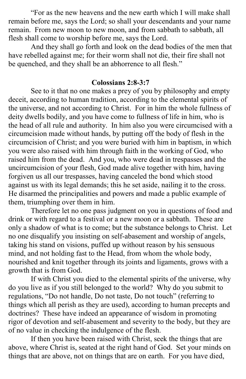"For as the new heavens and the new earth which I will make shall remain before me, says the Lord; so shall your descendants and your name remain. From new moon to new moon, and from sabbath to sabbath, all flesh shall come to worship before me, says the Lord.

And they shall go forth and look on the dead bodies of the men that have rebelled against me; for their worm shall not die, their fire shall not be quenched, and they shall be an abhorrence to all flesh."

### **Colossians 2:8-3:7**

See to it that no one makes a prey of you by philosophy and empty deceit, according to human tradition, according to the elemental spirits of the universe, and not according to Christ. For in him the whole fullness of deity dwells bodily, and you have come to fullness of life in him, who is the head of all rule and authority. In him also you were circumcised with a circumcision made without hands, by putting off the body of flesh in the circumcision of Christ; and you were buried with him in baptism, in which you were also raised with him through faith in the working of God, who raised him from the dead. And you, who were dead in trespasses and the uncircumcision of your flesh, God made alive together with him, having forgiven us all our trespasses, having canceled the bond which stood against us with its legal demands; this he set aside, nailing it to the cross. He disarmed the principalities and powers and made a public example of them, triumphing over them in him.

Therefore let no one pass judgment on you in questions of food and drink or with regard to a festival or a new moon or a sabbath. These are only a shadow of what is to come; but the substance belongs to Christ. Let no one disqualify you insisting on self-abasement and worship of angels, taking his stand on visions, puffed up without reason by his sensuous mind, and not holding fast to the Head, from whom the whole body, nourished and knit together through its joints and ligaments, grows with a growth that is from God.

If with Christ you died to the elemental spirits of the universe, why do you live as if you still belonged to the world? Why do you submit to regulations, "Do not handle, Do not taste, Do not touch" (referring to things which all perish as they are used), according to human precepts and doctrines? These have indeed an appearance of wisdom in promoting rigor of devotion and self-abasement and severity to the body, but they are of no value in checking the indulgence of the flesh.

If then you have been raised with Christ, seek the things that are above, where Christ is, seated at the right hand of God. Set your minds on things that are above, not on things that are on earth. For you have died,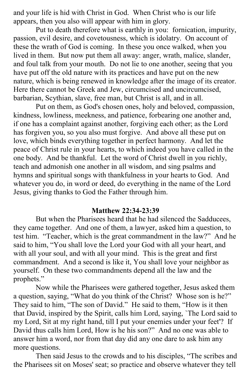and your life is hid with Christ in God. When Christ who is our life appears, then you also will appear with him in glory.

Put to death therefore what is earthly in you: fornication, impurity, passion, evil desire, and covetousness, which is idolatry. On account of these the wrath of God is coming. In these you once walked, when you lived in them. But now put them all away: anger, wrath, malice, slander, and foul talk from your mouth. Do not lie to one another, seeing that you have put off the old nature with its practices and have put on the new nature, which is being renewed in knowledge after the image of its creator. Here there cannot be Greek and Jew, circumcised and uncircumcised, barbarian, Scythian, slave, free man, but Christ is all, and in all.

Put on them, as God's chosen ones, holy and beloved, compassion, kindness, lowliness, meekness, and patience, forbearing one another and, if one has a complaint against another, forgiving each other; as the Lord has forgiven you, so you also must forgive. And above all these put on love, which binds everything together in perfect harmony. And let the peace of Christ rule in your hearts, to which indeed you have called in the one body. And be thankful. Let the word of Christ dwell in you richly, teach and admonish one another in all wisdom, and sing psalms and hymns and spiritual songs with thankfulness in your hearts to God. And whatever you do, in word or deed, do everything in the name of the Lord Jesus, giving thanks to God the Father through him.

#### **Matthew 22:34-23:39**

But when the Pharisees heard that he had silenced the Sadducees, they came together. And one of them, a lawyer, asked him a question, to test him. "Teacher, which is the great commandment in the law?" And he said to him, "You shall love the Lord your God with all your heart, and with all your soul, and with all your mind. This is the great and first commandment. And a second is like it, You shall love your neighbor as yourself. On these two commandments depend all the law and the prophets."

Now while the Pharisees were gathered together, Jesus asked them a question, saying, "What do you think of the Christ? Whose son is he?" They said to him, "The son of David." He said to them, "How is it then that David, inspired by the Spirit, calls him Lord, saying, `The Lord said to my Lord, Sit at my right hand, till I put your enemies under your feet'? If David thus calls him Lord, How is he his son?" And no one was able to answer him a word, nor from that day did any one dare to ask him any more questions.

Then said Jesus to the crowds and to his disciples, "The scribes and the Pharisees sit on Moses' seat; so practice and observe whatever they tell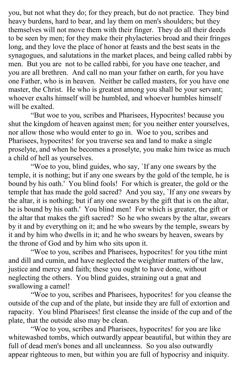you, but not what they do; for they preach, but do not practice. They bind heavy burdens, hard to bear, and lay them on men's shoulders; but they themselves will not move them with their finger. They do all their deeds to be seen by men; for they make their phylacteries broad and their fringes long, and they love the place of honor at feasts and the best seats in the synagogues, and salutations in the market places, and being called rabbi by men. But you are not to be called rabbi, for you have one teacher, and you are all brethren. And call no man your father on earth, for you have one Father, who is in heaven. Neither be called masters, for you have one master, the Christ. He who is greatest among you shall be your servant; whoever exalts himself will be humbled, and whoever humbles himself will be exalted.

"But woe to you, scribes and Pharisees, Hypocrites! because you shut the kingdom of heaven against men; for you neither enter yourselves, nor allow those who would enter to go in. Woe to you, scribes and Pharisees, hypocrites! for you traverse sea and land to make a single proselyte, and when he becomes a proselyte, you make him twice as much a child of hell as yourselves.

"Woe to you, blind guides, who say, `If any one swears by the temple, it is nothing; but if any one swears by the gold of the temple, he is bound by his oath.' You blind fools! For which is greater, the gold or the temple that has made the gold sacred? And you say, `If any one swears by the altar, it is nothing; but if any one swears by the gift that is on the altar, he is bound by his oath.' You blind men! For which is greater, the gift or the altar that makes the gift sacred? So he who swears by the altar, swears by it and by everything on it; and he who swears by the temple, swears by it and by him who dwells in it; and he who swears by heaven, swears by the throne of God and by him who sits upon it.

"Woe to you, scribes and Pharisees, hypocrites! for you tithe mint and dill and cumin, and have neglected the weightier matters of the law, justice and mercy and faith; these you ought to have done, without neglecting the others. You blind guides, straining out a gnat and swallowing a camel!

"Woe to you, scribes and Pharisees, hypocrites! for you cleanse the outside of the cup and of the plate, but inside they are full of extortion and rapacity. You blind Pharisees! first cleanse the inside of the cup and of the plate, that the outside also may be clean.

"Woe to you, scribes and Pharisees, hypocrites! for you are like whitewashed tombs, which outwardly appear beautiful, but within they are full of dead men's bones and all uncleanness. So you also outwardly appear righteous to men, but within you are full of hypocrisy and iniquity.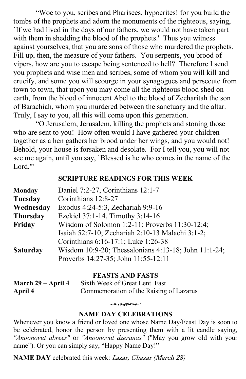"Woe to you, scribes and Pharisees, hypocrites! for you build the tombs of the prophets and adorn the monuments of the righteous, saying, `If we had lived in the days of our fathers, we would not have taken part with them in shedding the blood of the prophets.' Thus you witness against yourselves, that you are sons of those who murdered the prophets. Fill up, then, the measure of your fathers. You serpents, you brood of vipers, how are you to escape being sentenced to hell? Therefore I send you prophets and wise men and scribes, some of whom you will kill and crucify, and some you will scourge in your synagogues and persecute from town to town, that upon you may come all the righteous blood shed on earth, from the blood of innocent Abel to the blood of Zecharitah the son of Barachiah, whom you murdered between the sanctuary and the altar. Truly, I say to you, all this will come upon this generation.

"O Jerusalem, Jerusalem, killing the prophets and stoning those who are sent to you! How often would I have gathered your children together as a hen gathers her brood under her wings, and you would not! Behold, your house is forsaken and desolate. For I tell you, you will not see me again, until you say, `Blessed is he who comes in the name of the Lord."

#### **SCRIPTURE READINGS FOR THIS WEEK**

| <b>Monday</b>   | Daniel 7:2-27, Corinthians 12:1-7                    |  |
|-----------------|------------------------------------------------------|--|
| <b>Tuesday</b>  | Corinthians 12:8-27                                  |  |
| Wednesday       | Exodus 4:24-5:3, Zechariah 9:9-16                    |  |
| <b>Thursday</b> | Ezekiel 37:1-14, Timothy 3:14-16                     |  |
| Friday          | Wisdom of Solomon 1:2-11; Proverbs 11:30-12:4;       |  |
|                 | Isaiah 52:7-10; Zechariah 2:10-13 Malachi 3:1-2;     |  |
|                 | Corinthians 6:16-17:1; Luke 1:26-38                  |  |
| <b>Saturday</b> | Wisdom 10:9-20; Thessalonians 4:13-18; John 11:1-24; |  |
|                 | Proverbs 14:27-35; John 11:55-12:11                  |  |

### **FEASTS AND FASTS**

| March 29 – April 4 | Sixth Week of Great Lent. Fast          |
|--------------------|-----------------------------------------|
| April 4            | Commemoration of the Raising of Lazarus |

## -systemen **NAME DAY CELEBRATIONS**

Whenever you know a friend or loved one whose Name Day/Feast Day is soon to be celebrated, honor the person by presenting them with a lit candle saying, *"Anoonovut abrees"* or *"Anoonovut dzeranas"* ("May you grow old with your name"). Or you can simply say, "Happy Name Day!"

**NAME DAY** celebrated this week: Lazar, Ghazar (March 28)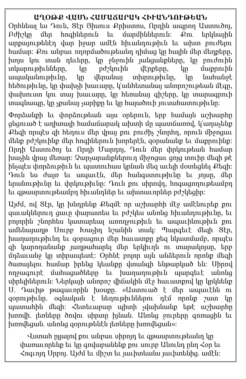## **ԱՂՕԹՔ ՎԱՍՆ ՀԱՄԱՃԱՐԱԿ ՀԻՒԱՆԴՈՒԹԵԱՆ**

Օրհնեալ ես Դուն, Տէր Յիսուս Քրիստոս, Որդին ապրող Աստուծոյ, Բժիշկը մեր հոգիներուն եւ մարմիններուն։ Քու երկնային արքայութենէդ վար իջար ամէն հիւանդութիւն եւ ախտ բուժելու համար։ Քու անբաւ ողորմածութեանդ դիմաց կը հալին մեր մեղքերը, խոյս կու տան դեւերը, կը ջնջուին յանցանքները, կը բուժուին տկարութիւնները, կը բժշկուին վէրքերը, կը մաքրուին ապականութիւնը, կը վերանայ տխրութիւնը, կը նահանջէ հեծութիւնը, կը փախչի խաւարը, կ՛անհետանայ անորոշութեան մէգը, փախուստ կու տայ խաւարը, կը հեռանայ գիշերը, կը տարագրուի տագնապը, կը չքանայ չարիքը եւ կը հալածուի յուսահատութիւնը։

Փորձանքի եւ փորձութեան այս օրերուն, երբ համայն աշխարհը ցնցուած է աղիտալի համաճարակ ախտի մը պատճառով, կ՛աղաչենք Քեզի որպէս զի հեղուս մեր վրայ քու բուժիչ շնորհդ, որուն միջոցաւ մենք բժշկուինք մեր հոգիներուն խորերէն, զօրանանք եւ մաքրուինք։ Որդի Աստուծոյ եւ Որդի Մարդոյ, Դուն մեր փրկութեան համար խաչին վրայ մեռար։ Չարչարանքներուդ միջոցաւ ցոյց տուիր մեզի թէ ինչպէս փորձութիւն եւ պատուհաս կրնան մեզ աւելի մօտեցնել Քեզի։ Դուն ես ժայռ եւ ապաւէն, մեր հանգստութիւնը եւ յոյսը, մեր երանութիւնը եւ փրկութիւնը։ Դուն քու սիրովդ, հոգացողութեամբդ եւ գթասրտութեամբդ հիւանդներ եւ ախտաւորներ բժշկեցիր։

Այժմ, ով Տէր, կը խնդրենք Քեզմէ որ աշխարհի մէջ ամէնուրեք քու զաւակներուդ ցաւը փարատես եւ բժշկես անոնց հիւանդութիւնը, եւ բոլորին շնորհես կատարեալ առողջութիւն եւ ապաւինութիւն քու ամենայաղթ Սուրբ Խաչիդ նշանին տակ։ Պարգեւէ մեզի Տէր, խաղաղութիւնդ եւ զօրացուր մեր հաւատքը քեզ նկատմամբ, որպէս զի կարողանանք յաղթահարել մեր երկիւղն ու տարակոյսը, երբ մղձաւանջ կը տիրապետէ։ Օրհնէ բոլոր այն անձերուն որոնք մեզի ծառայելու համար իրենց կեանքը վտանգի ենթարկած են։ Սիրով ողջագուրէ մահացածները եւ խաղաղութիւն պարգեւէ անոնց սիրելիներուն։ Ներկայի անորոշ վիճակին մէջ հաւատքով կը կրկնենք Ս. Դաւիթ թագաւորին խօսքը. «Աստուած է մեր ապաւէնն ու զօրութիւնը. օգնական է նեղութիւններու դէմ որոնք շատ կը պատահին մեզի։ Հետեւաբար պիտի չվախնանք եթէ աշխարհը խռովի. լեռները ծովու սիրտը իյնան. Անոնց ջուրերը գոռացին եւ խռովեցան. անոնց զօրութենէն լեռները խռովեցան»։

Վստահ ըլլալով քու անբաւ սիրոյդ եւ գթասրտութեանդ կը փառաւորենք եւ կը գովաբանենք քու սուրբ Անունդ ընդ Հօր եւ Հոգւոյդ Սրբոյ. Այժմ եւ միշտ եւ յաւիտեանս յաւիտենից. ամէն։